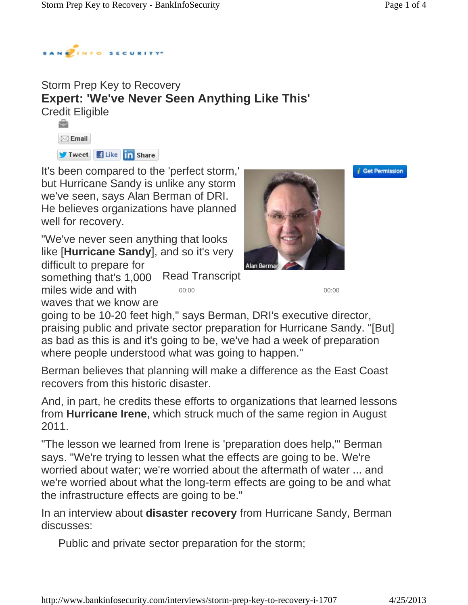

## Storm Prep Key to Recovery **Expert: 'We've Never Seen Anything Like This'** Credit Eligible



miles wide and with

waves that we know are

It's been compared to the 'perfect storm,' but Hurricane Sandy is unlike any storm we've seen, says Alan Berman of DRI. He believes organizations have planned well for recovery.

"We've never seen anything that looks like [**Hurricane Sandy**], and so it's very difficult to prepare for

Read Transcript something that's 1,000

00:00 00:00



*i* Get Permission

going to be 10-20 feet high," says Berman, DRI's executive director, praising public and private sector preparation for Hurricane Sandy. "[But] as bad as this is and it's going to be, we've had a week of preparation where people understood what was going to happen."

Berman believes that planning will make a difference as the East Coast recovers from this historic disaster.

And, in part, he credits these efforts to organizations that learned lessons from **Hurricane Irene**, which struck much of the same region in August 2011.

"The lesson we learned from Irene is 'preparation does help,'" Berman says. "We're trying to lessen what the effects are going to be. We're worried about water; we're worried about the aftermath of water ... and we're worried about what the long-term effects are going to be and what the infrastructure effects are going to be."

In an interview about **disaster recovery** from Hurricane Sandy, Berman discusses:

Public and private sector preparation for the storm;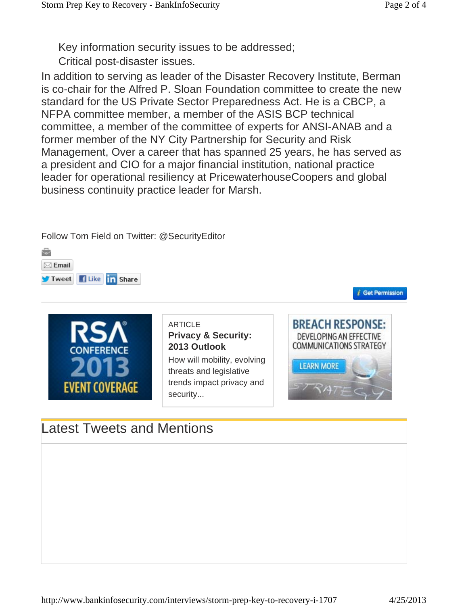Key information security issues to be addressed;

Critical post-disaster issues.

In addition to serving as leader of the Disaster Recovery Institute, Berman is co-chair for the Alfred P. Sloan Foundation committee to create the new standard for the US Private Sector Preparedness Act. He is a CBCP, a NFPA committee member, a member of the ASIS BCP technical committee, a member of the committee of experts for ANSI-ANAB and a former member of the NY City Partnership for Security and Risk Management, Over a career that has spanned 25 years, he has served as a president and CIO for a major financial institution, national practice leader for operational resiliency at PricewaterhouseCoopers and global business continuity practice leader for Marsh.

Follow Tom Field on Twitter: @SecurityEditor ÷



Tweet Hike in Share

 $\boxtimes$  Email

ARTICLE **Privacy & Security: 2013 Outlook**

How will mobility, evolving threats and legislative trends impact privacy and security...



*i* Get Permission

## Latest Tweets and Mentions